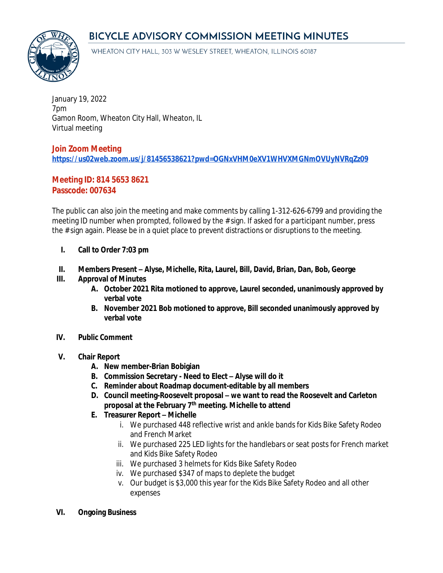# BICYCLE ADVISORY COMMISSION MEETING MINUTES



WHEATON CITY HALL, 303 W WESLEY STREET, WHEATON, ILLINOIS 60187

January 19, 2022 7pm Gamon Room, Wheaton City Hall, Wheaton, IL Virtual meeting

## **Join Zoom Meeting <https://us02web.zoom.us/j/81456538621?pwd=OGNxVHM0eXV1WHVXMGNmOVUyNVRqZz09>**

## **Meeting ID: 814 5653 8621 Passcode: 007634**

The public can also join the meeting and make comments by calling 1-312-626-6799 and providing the meeting ID number when prompted, followed by the # sign. If asked for a participant number, press the # sign again. Please be in a quiet place to prevent distractions or disruptions to the meeting.

- **I. Call to Order 7:03 pm**
- **II. Members Present – Alyse, Michelle, Rita, Laurel, Bill, David, Brian, Dan, Bob, George**

## **III. Approval of Minutes**

- **A. October 2021 Rita motioned to approve, Laurel seconded, unanimously approved by verbal vote**
- **B. November 2021 Bob motioned to approve, Bill seconded unanimously approved by verbal vote**
- **IV. Public Comment**

#### **V. Chair Report**

- **A. New member-Brian Bobigian**
- **B. Commission Secretary Need to Elect – Alyse will do it**
- **C. Reminder about Roadmap document-editable by all members**
- **D. Council meeting-Roosevelt proposal – we want to read the Roosevelt and Carleton proposal at the February 7th meeting. Michelle to attend**
- **E. Treasurer Report – Michelle**
	- i. We purchased 448 reflective wrist and ankle bands for Kids Bike Safety Rodeo and French Market
	- ii. We purchased 225 LED lights for the handlebars or seat posts for French market and Kids Bike Safety Rodeo
	- iii. We purchased 3 helmets for Kids Bike Safety Rodeo
	- iv. We purchased \$347 of maps to deplete the budget
	- v. Our budget is \$3,000 this year for the Kids Bike Safety Rodeo and all other expenses
- **VI. Ongoing Business**